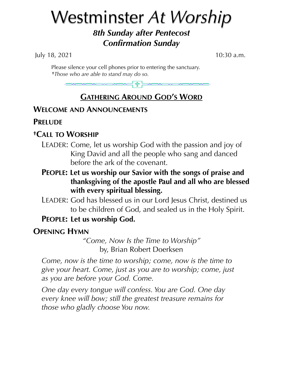# Westminster *At Worship*

# *8th Sunday after Pentecost Confirmation Sunday*

July 18, 202110:30 a.m.

 Please silence your cell phones prior to entering the sanctuary. **†***Those who are able to stand may do so.*

╡╬┆

# **GATHERING AROUND GOD'S WORD**

#### **WELCOME AND ANNOUNCEMENTS**

# **PRELUDE**

# **†CALL TO WORSHIP**

- LEADER: Come, let us worship God with the passion and joy of King David and all the people who sang and danced before the ark of the covenant.
- **PEOPLE: Let us worship our Savior with the songs of praise and thanksgiving of the apostle Paul and all who are blessed with every spiritual blessing.**
- LEADER: God has blessed us in our Lord Jesus Christ, destined us to be children of God, and sealed us in the Holy Spirit.

# **PEOPLE: Let us worship God.**

# **OPENING HYMN**

*"Come, Now Is the Time to Worship"* by, Brian Robert Doerksen

*Come, now is the time to worship; come, now is the time to give your heart. Come, just as you are to worship; come, just as you are before your God. Come.*

*One day every tongue will confess. You are God. One day every knee will bow; still the greatest treasure remains for those who gladly choose You now.*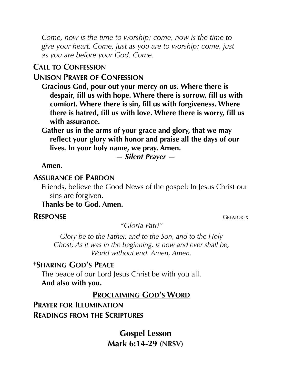*Come, now is the time to worship; come, now is the time to give your heart. Come, just as you are to worship; come, just as you are before your God. Come.*

#### **CALL TO CONFESSION**

**UNISON PRAYER OF CONFESSION**

**Gracious God, pour out your mercy on us. Where there is despair, fill us with hope. Where there is sorrow, fill us with comfort. Where there is sin, fill us with forgiveness. Where there is hatred, fill us with love. Where there is worry, fill us with assurance.** 

**Gather us in the arms of your grace and glory, that we may reflect your glory with honor and praise all the days of our lives. In your holy name, we pray. Amen.**

#### *— Silent Prayer —*

**Amen.**

#### **ASSURANCE OF PARDON**

Friends, believe the Good News of the gospel: In Jesus Christ our sins are forgiven.

#### **Thanks be to God. Amen.**

#### **RESPONSE** GREATOREX

*"Gloria Patri"*

*Glory be to the Father, and to the Son, and to the Holy Ghost; As it was in the beginning, is now and ever shall be, World without end. Amen, Amen.*

#### **†SHARING GOD'S PEACE**

The peace of our Lord Jesus Christ be with you all. **And also with you.**

#### **PROCLAIMING GOD'S WORD**

**PRAYER FOR ILLUMINATION READINGS FROM THE SCRIPTURES**

> **Gospel Lesson Mark 6:14-29 (NRSV)**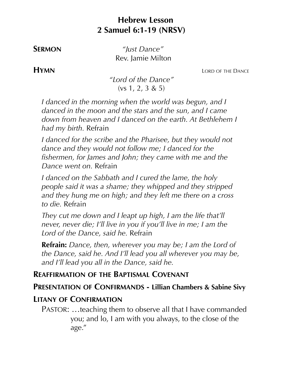# **Hebrew Lesson 2 Samuel 6:1-19 (NRSV)**

**SERMON** *"Just Dance"* Rev. Jamie Milton

**HYMN** LORD OF THE DANCE

*"Lord of the Dance"* (vs 1, 2, 3 & 5)

*I danced in the morning when the world was begun, and I danced in the moon and the stars and the sun, and I came down from heaven and I danced on the earth. At Bethlehem I had my birth.* Refrain

*I* danced for the scribe and the Pharisee, but they would not *dance and they would not follow me; I danced for the fishermen, for James and John; they came with me and the Dance went on.* Refrain

*I danced on the Sabbath and I cured the lame, the holy people said it was a shame; they whipped and they stripped and they hung me on high; and they left me there on a cross to die.* Refrain

*They cut me down and I leapt up high, I am the life that'll never, never die; I'll live in you if you'll live in me; I am the Lord of the Dance, said he.* Refrain

**Refrain:** *Dance, then, wherever you may be; I am the Lord of the Dance, said he. And I'll lead you all wherever you may be, and I'll lead you all in the Dance, said he.*

#### **REAFFIRMATION OF THE BAPTISMAL COVENANT**

#### **PRESENTATION OF CONFIRMANDS - Lillian Chambers & Sabine Sivy**

#### **LITANY OF CONFIRMATION**

PASTOR: …teaching them to observe all that I have commanded you; and lo, I am with you always, to the close of the age."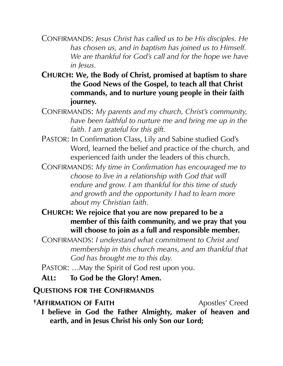CONFIRMANDS: *Jesus Christ has called us to be His disciples. He has chosen us, and in baptism has joined us to Himself. We are thankful for God's call and for the hope we have in Jesus.*

**CHURCH: We, the Body of Christ, promised at baptism to share the Good News of the Gospel, to teach all that Christ commands, and to nurture young people in their faith journey.**

- CONFIRMANDS: *My parents and my church, Christ's community, have been faithful to nurture me and bring me up in the faith. I am grateful for this gift.*
- PASTOR: In Confirmation Class, Lily and Sabine studied God's Word, learned the belief and practice of the church, and experienced faith under the leaders of this church.

CONFIRMANDS: *My time in Confirmation has encouraged me to choose to live in a relationship with God that will endure and grow. I am thankful for this time of study and growth and the opportunity I had to learn more about my Christian faith.*

**CHURCH: We rejoice that you are now prepared to be a member of this faith community, and we pray that you will choose to join as a full and responsible member.**

CONFIRMANDS: *I understand what commitment to Christ and membership in this church means, and am thankful that God has brought me to this day.*

PASTOR: …May the Spirit of God rest upon you.

**ALL: To God be the Glory! Amen.**

#### **QUESTIONS FOR THE CONFIRMANDS**

*†AFFIRMATION OF FAITH* Apostles' Creed

**I believe in God the Father Almighty, maker of heaven and earth, and in Jesus Christ his only Son our Lord;**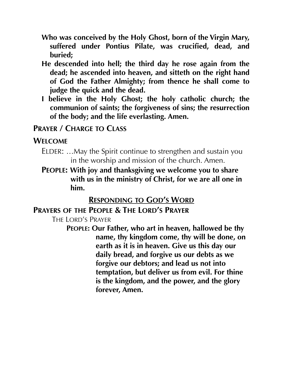- **Who was conceived by the Holy Ghost, born of the Virgin Mary, suffered under Pontius Pilate, was crucified, dead, and buried;**
- **He descended into hell; the third day he rose again from the dead; he ascended into heaven, and sitteth on the right hand of God the Father Almighty; from thence he shall come to judge the quick and the dead.**
- **I believe in the Holy Ghost; the holy catholic church; the communion of saints; the forgiveness of sins; the resurrection of the body; and the life everlasting. Amen.**

# **PRAYER / CHARGE TO CLASS**

# **WELCOME**

- ELDER: …May the Spirit continue to strengthen and sustain you in the worship and mission of the church. Amen.
- **PEOPLE: With joy and thanksgiving we welcome you to share with us in the ministry of Christ, for we are all one in him.**

# **RESPONDING TO GOD'S WORD**

#### **PRAYERS OF THE PEOPLE & THE LORD'S PRAYER**

THE LORD'S PRAYER

**PEOPLE: Our Father, who art in heaven, hallowed be thy name, thy kingdom come, thy will be done, on earth as it is in heaven. Give us this day our daily bread, and forgive us our debts as we forgive our debtors; and lead us not into temptation, but deliver us from evil. For thine is the kingdom, and the power, and the glory forever, Amen.**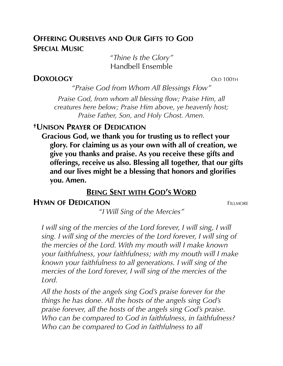# **OFFERING OURSELVES AND OUR GIFTS TO GOD SPECIAL MUSIC**

*"Thine Is the Glory"* Handbell Ensemble

#### **DOXOLOGY** OLD 100TH

*"Praise God from Whom All Blessings Flow"*

*Praise God, from whom all blessing flow; Praise Him, all creatures here below; Praise Him above, ye heavenly host; Praise Father, Son, and Holy Ghost. Amen.* 

#### **†UNISON PRAYER OF DEDICATION**

**Gracious God, we thank you for trusting us to reflect your glory. For claiming us as your own with all of creation, we give you thanks and praise. As you receive these gifts and offerings, receive us also. Blessing all together, that our gifts and our lives might be a blessing that honors and glorifies you. Amen.**

#### **BEING SENT WITH GOD'S WORD**

#### **HYMN OF DEDICATION FILLMORE**

*"I Will Sing of the Mercies"*

*I* will sing of the mercies of the Lord forever, I will sing, I will *sing. I will sing of the mercies of the Lord forever, I will sing of the mercies of the Lord. With my mouth will I make known your faithfulness, your faithfulness; with my mouth will I make known your faithfulness to all generations. I will sing of the mercies of the Lord forever, I will sing of the mercies of the Lord.*

*All the hosts of the angels sing God's praise forever for the things he has done. All the hosts of the angels sing God's praise forever, all the hosts of the angels sing God's praise. Who can be compared to God in faithfulness, in faithfulness? Who can be compared to God in faithfulness to all*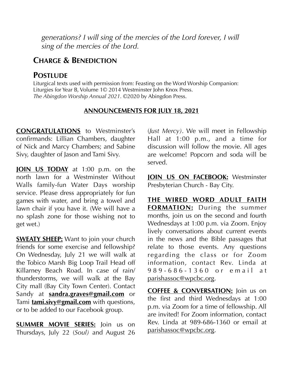*generations? I will sing of the mercies of the Lord forever, I will sing of the mercies of the Lord.*

#### **CHARGE & BENEDICTION**

# **POSTLUDE**

Liturgical texts used with permission from: Feasting on the Word Worship Companion: Liturgies for Year B, Volume 1© 2014 Westminster John Knox Press. *The Abingdon Worship Annual 2021*. ©2020 by Abingdon Press.

#### **ANNOUNCEMENTS FOR JULY 18, 2021**

**CONGRATULATIONS** to Westminster's confirmands: Lillian Chambers, daughter of Nick and Marcy Chambers; and Sabine Sivy, daughter of Jason and Tami Sivy.

**JOIN US TODAY** at 1:00 p.m. on the north lawn for a Westminster Without Walls family-fun Water Days worship service. Please dress appropriately for fun games with water, and bring a towel and lawn chair if you have it. (We will have a no splash zone for those wishing not to get wet.)

**SWEATY SHEEP:** Want to join your church friends for some exercise and fellowship? On Wednesday, July 21 we will walk at the Tobico Marsh Big Loop Trail Head off Killarney Beach Road. In case of rain/ thunderstorms, we will walk at the Bay City mall (Bay City Town Center). Contact Sandy at **[sandra.graves@gmail.com](mailto:sandra.graves@gmail.com)** or Tami **[tami.sivy@gmail.com](mailto:tami.sivy@gmail.com)** with questions, or to be added to our Facebook group.

**SUMMER MOVIE SERIES:** Join us on Thursdays, July 22 (*Soul)* and August 26 (*Just Mercy)*. We will meet in Fellowship Hall at 1:00 p.m., and a time for discussion will follow the movie. All ages are welcome! Popcorn and soda will be served.

**JOIN US ON FACEBOOK:** Westminster Presbyterian Church - Bay City.

**THE WIRED WORD ADULT FAITH FORMATION:** During the summer months, join us on the second and fourth Wednesdays at 1:00 p.m. via Zoom. Enjoy lively conversations about current events in the news and the Bible passages that relate to those events. Any questions regarding the class or for Zoom information, contact Rev. Linda at 9 8 9 - 6 8 6 - 1 3 6 0 or email at [parishassoc@wpcbc.org.](mailto:parishassoc@wpcbc.org)

**COFFEE & CONVERSATION:** Join us on the first and third Wednesdays at 1:00 p.m. via Zoom for a time of fellowship. All are invited! For Zoom information, contact Rev. Linda at 989-686-1360 or email at [parishassoc@wpcbc.org.](mailto:parishassoc@wpcbc.org)